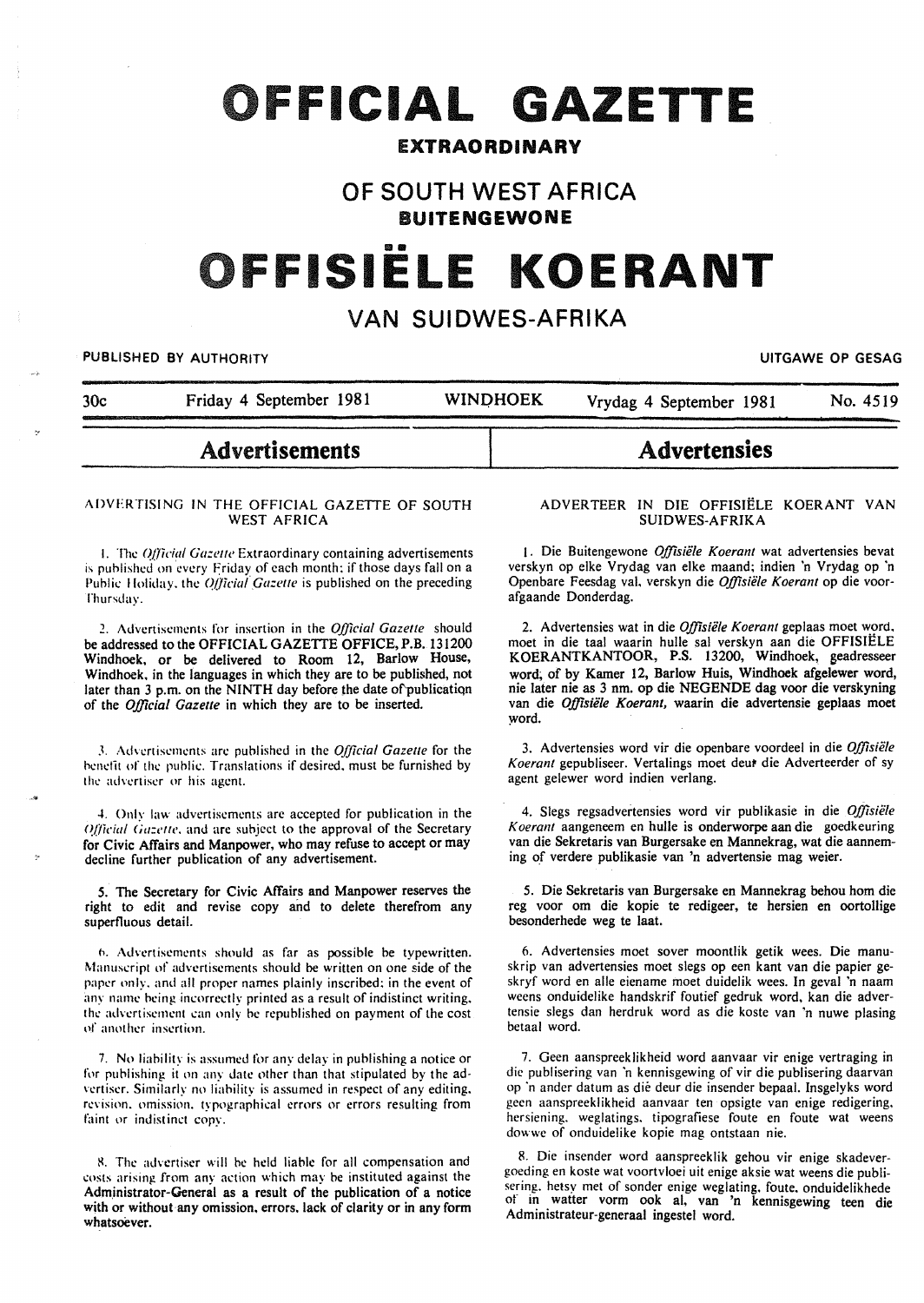# FFICIAL **GAZETTE**

# EXTRAORDINARY

# OF SOUTH WEST AFRICA BUITENGEWONE

# 11111111 FFISIELE **KOERANT**

# VAN SUIDWES-AFRIKA

### PUBLISHED BY AUTHORITY **EXAGGED AS A SECULAR CONSTRUCTED AS A SECULAR CONSTRUCTION** OF GESAG

"

30c Friday 4 September 1981 WINQHOEK Vrydag 4 September 1981 No. 4519

# Advertisements

#### ADVERTISING IN THE OFFICIAL GAZETTE OF SOUTH WEST AFRICA

1. The *Official Gazette* Extraordinary containing advertisements is published on every Friday of each month; if those days fall on a Public Holiday, the *Official Gazette* is published on the preceding rhursday.

?.. Advertisements for insertion in the *Official Gazette* should be addressed to the OFFICIAL GAZETTE OFFICE,P.B. 131200 Windhoek, or be delivered to Room 12, Barlow House, Windhoek. in the languages in which they are to be published, not later than 3 p.m. on the NINTH day before the date of'publicatiqn of the *Official Gazette* in which they are to be inserted.

.1. Advertisements arc published in the *Official Gazette* for the benefit of the public. Translations if desired, must be furnished by the advertiser or his agent.

4. Only law advertisements are accepted for publication in the Official Gazette, and are subject to the approval of the Secretary for Civic Affairs and Manpower, who may refuse to accept or may decline further publication of any advertisement.

5. The Secretary for Civic Affairs and Manpower reserves the right to edit and revise copy and to delete therefrom any superfluous detail.

h. Advertisements should as far as possible be typewritten. Manuscript of advertisements should be written on one side of the paper only. and all proper names plainly inscribed; in the event of any name being incorrectly printed as a result of indistinct writing. the advcrtisemcnt can only be republished on payment of the cost of another insertion.

7. No liability is assumed for any delay in publishing a notice or for publishing it on any date other than that stipulated by the advertiser. Similarly no liability is assumed in respect of any editing. revision, omission, typographical errors or errors resulting from faint or indistinct copy.

8. The advertiser will be held liable for all compensation and costs arising from any action which may be instituted against the Administrator-General as a result of the publication of a notice with or without any omission, errors. lack of clarity or in any form whatsoever.

#### ADVERTEER IN DIE OFFISIELE KOERANT VAN SUIDWES-AFRIKA

**Advertensies** 

1. Die Buitengewone Offisiële Koerant wat advertensies bevat verskyn op elke Vrydag van elke maand; indien 'n Vrydag op 'n Openbare Feesdag val, verskyn die *Offisiële Koerant* op die voorafgaande Donderdag.

2. Advertensies wat in die *Offisiële Koerant* geplaas moet word, moet in die taal waarin hulle sal verskyn aan die OFFISIELE KOERANTKANTOOR, P.S. 13200, Windhoek, geadresseer word; of by Kamer 12, Barlow Huis, Windhoek afgelewer word, nie later nie as 3 nm. op die NEGENDE dag voor die verskyning van die *Offisiële Koerant*, waarin die advertensie geplaas moet word.

3. Advertensies word vir die openbare voordeel in die *Offisii!le*  Koerant gepubliseer. Vertalings moet deut die Adverteerder of sy agent gelewer word indien verlang.

4. Slegs regsadvertensies word vir publikasie in die Offisiële *Koerant* aangeneem en bulle is onderworpe aan die goedkeuring van die Sekretaris van Burgersake en Mannekrag, wat die aanneming of verdere publikasie van 'n advertensie mag weier.

5. Die Sekretaris van Burgersake en Mannekrag behou hom die reg voor om die kopie te redigeer, te hersien en oortollige besonderhede weg te laat.

6. Advertensies moet sover moontlik getik wees. Die manuskrip van advertensies moet slegs op een kant van die papier geskryf word en aile eiename moet duidelik wees. In geval 'n naam weens onduidelike handskrif foutief gedruk word, kan die advertensie slegs dan herdruk word as die koste van 'n nuwe plasing betaal word.

7. Geen aanspreeklikheid word aanvaar vir enige vertraging in die publisering van 'n kennisgewing of vir die publisering daarvan op ·n ander datum as die deur die insender bepaal. Insgelyks word geen aanspreeklikheid aanvaar ten opsigte van enige redigering, hersiening. weglatings. tipografiese foute en foute wat weens dowwe of onduidelike kopie mag ontstaan nie.

8. Die insender word aanspreeklik gehou vir enige skadevergoeding en koste wat voortvloei uit enige aksie wat weens die publisering. hetsy met of sonder enige weglating. foute. onduidelikhede or in watter vorm ook al, van 'n kennisgewing teen die Administrateur-generaal ingestel word.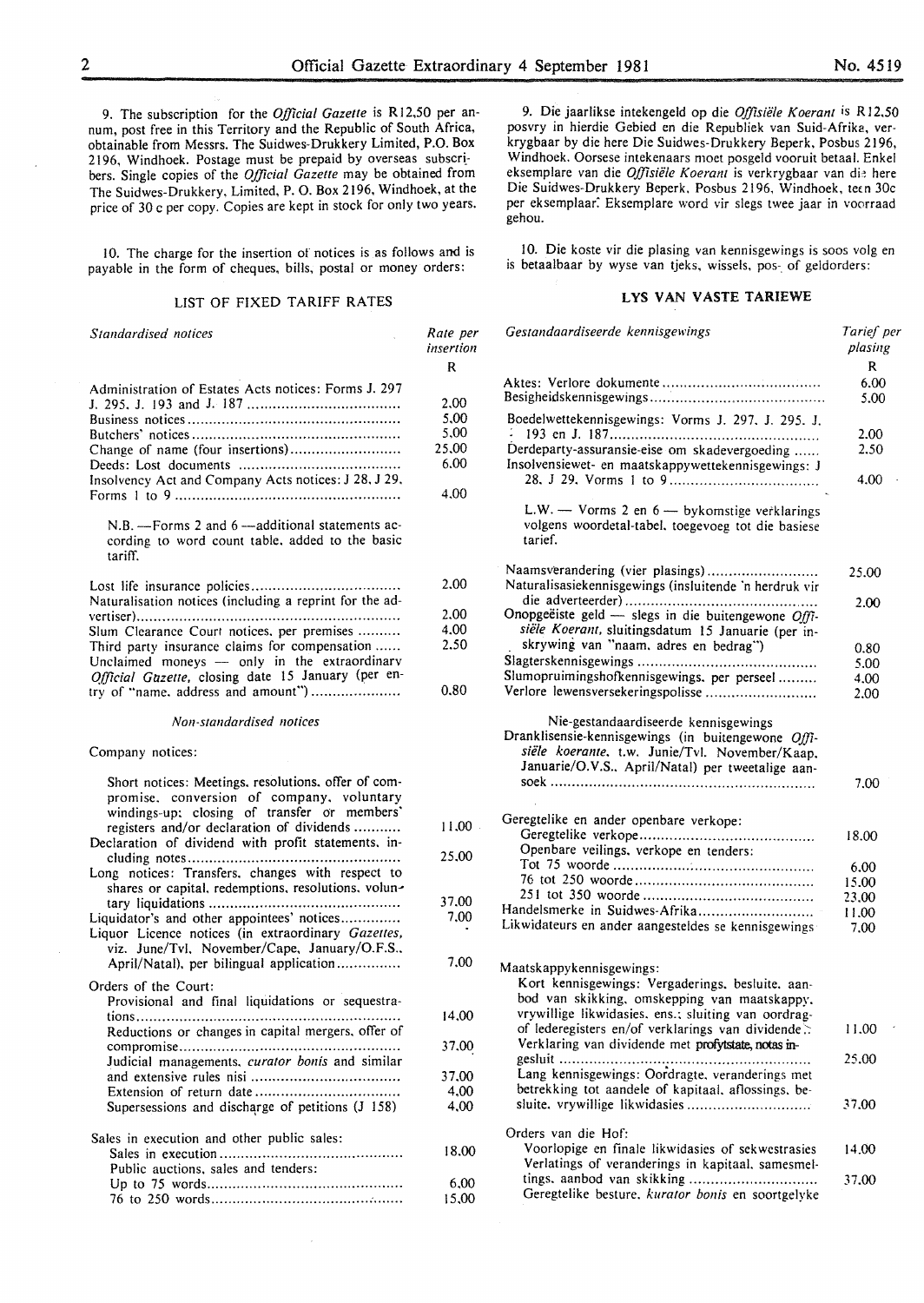9. The subscription for the *Official Gazette* is R 12,50 per annum, post free in this Territory and the Republic of South Africa, obtainable from Messrs. The Suidwes-Drukkery Limited, P.O. Box 2196, Windhoek. Postage must be prepaid by overseas subscribers. Single copies of the *Official Gazette* may be obtained from The Suidwes-Drukkery, Limited, P. 0. Box 2!96, Windhoek, at the price of 30 c per copy. Copies are kept in stock for only two years.

10. The charge for the insertion of notices is as follows and is payable in the form of cheques, bills, postal or money orders:

### LIST OF FIXED TARIFF RATES

*Standardised notices* 

*Rate per insertion*  R

2.00 2.00 4.00 2.50

0.80

11.00 25.00

37.00 7.00

7.00

14.00 37.00 37.00 4,00 4,00

18.00

6.00 15.00

| Administration of Estates Acts notices: Forms J. 297 |       |
|------------------------------------------------------|-------|
|                                                      | 2.00  |
|                                                      | 5.00  |
|                                                      | 5.00  |
|                                                      | 25.00 |
|                                                      | 6.00  |
| Insolvency Act and Company Acts notices: J 28, J 29, |       |
|                                                      | 4.00  |

N.B. - Forms 2 and 6 -- additional statements according to word count table. added to the basic tariff.

| Naturalisation notices (including a reprint for the ad- |
|---------------------------------------------------------|
|                                                         |
| Slum Clearance Court notices, per premises              |
| Third party insurance claims for compensation           |
| Unclaimed moneys - only in the extraordinary            |
| Official Gazette, closing date 15 January (per en-      |
| try of "name. address and amount")                      |

#### *Non-standardised notices*

### Company notices:

| Short notices: Meetings, resolutions, offer of com-<br>promise, conversion of company, voluntary<br>windings-up: closing of transfer or members'<br>registers and/or declaration of dividends                                                                                                           |
|---------------------------------------------------------------------------------------------------------------------------------------------------------------------------------------------------------------------------------------------------------------------------------------------------------|
| Declaration of dividend with profit statements, in-                                                                                                                                                                                                                                                     |
| Long notices: Transfers, changes with respect to<br>shares or capital, redemptions, resolutions, volun-<br>Liquidator's and other appointees' notices<br>Liquor Licence notices (in extraordinary Gazettes,<br>viz. June/Tvl. November/Cape, January/O.F.S.,<br>April/Natal), per bilingual application |
| Orders of the Court:<br>Provisional and final liquidations or sequestra-<br>tions<br>Reductions or changes in capital mergers, offer of<br>Judicial managements, <i>curator bonis</i> and similar<br>Supersessions and discharge of petitions (J 158)                                                   |
| Sales in execution and other public sales:<br>Public auctions, sales and tenders:                                                                                                                                                                                                                       |

| r aont auctions, sales and tenders. |
|-------------------------------------|
|                                     |
|                                     |
|                                     |
|                                     |
|                                     |

9. Die jaarlikse intekengeld op die *Offisiele K oeranr* is R 12.50 posvry in hierdie Gebied en die Republiek van Suid-Afrika, verkrygbaar by die here Die Suidwes-Drukkery Beperk, Posbus 2196, Windhoek. Oorsese intekenaars moet posgeld vooruit betaal. Enkel eksemplare van die Offisiële Koerant is verkrygbaar van die here Die Suidwes-Drukkery Beperk, Posbus 2196, Windhoek, teen 30c per eksemplaar: Eksemplare word vir slegs twee jaar in voorraad gehou.

10. Die koste vir die plasing van kennisgewings is soos volg en is betaalbaar by wyse van tjeks, wissels, pos- of geldorders:

#### LYS VAN VASTE TARIEWE

| Gestandaardiseerde kennisgewings                                                                                                                                                                  | Tarief per<br>plasing |
|---------------------------------------------------------------------------------------------------------------------------------------------------------------------------------------------------|-----------------------|
|                                                                                                                                                                                                   | R                     |
|                                                                                                                                                                                                   | 6.00<br>5.00          |
| Boedelwettekennisgewings: Vorms J. 297, J. 295. J.                                                                                                                                                | 2.00                  |
| Derdeparty-assuransie-eise om skadevergoeding<br>Insolvensiewet- en maatskappywettekennisgewings: J                                                                                               | 2.50                  |
|                                                                                                                                                                                                   | 4.00                  |
| L.W. - Vorms 2 en 6 - bykomstige verklarings<br>volgens woordetal-tabel, toegevoeg tot die basiese<br>tarief.                                                                                     |                       |
| Naamsverandering (vier plasings)<br>Naturalisasiekennisgewings (insluitende 'n herdruk vir                                                                                                        | 25.00                 |
|                                                                                                                                                                                                   | 2.00                  |
| Onopgeëiste geld - slegs in die buitengewone Offi-                                                                                                                                                |                       |
| siële Koerant, sluitingsdatum 15 Januarie (per in-                                                                                                                                                |                       |
| skrywing van "naam, adres en bedrag")                                                                                                                                                             | 0.80                  |
|                                                                                                                                                                                                   | 5.00                  |
| Slumopruimingshofkennisgewings. per perseel                                                                                                                                                       | 4.00                  |
| Verlore lewensversekeringspolisse                                                                                                                                                                 | 2.00                  |
| Nie-gestandaardiseerde kennisgewings<br>Dranklisensie-kennisgewings (in buitengewone Offi-<br>siële koerante, t.w. Junie/Tvl. November/Kaap,<br>Januarie/O.V.S., April/Natal) per tweetalige aan- |                       |
|                                                                                                                                                                                                   | 7.00                  |
| Geregtelike en ander openbare verkope:                                                                                                                                                            |                       |
|                                                                                                                                                                                                   | 18.00                 |
| Openbare veilings, verkope en tenders:                                                                                                                                                            |                       |
|                                                                                                                                                                                                   | 6.00                  |
|                                                                                                                                                                                                   | 15.00                 |
|                                                                                                                                                                                                   | 23,00                 |
| Handelsmerke in Suidwes-Afrika                                                                                                                                                                    | 11.00                 |
| Likwidateurs en ander aangesteldes se kennisgewings                                                                                                                                               | 7.00                  |
| Maatskappykennisgewings:                                                                                                                                                                          |                       |
| Kort kennisgewings: Vergaderings, besluite, aan-                                                                                                                                                  |                       |
| bod van skikking, omskepping van maatskappy.                                                                                                                                                      |                       |
|                                                                                                                                                                                                   |                       |
| vrywillige likwidasies. ens.; sluiting van oordrag-                                                                                                                                               |                       |
| of lederegisters en/of verklarings van dividende.<br>Verklaring van dividende met profytstate, notas in-                                                                                          | 11.00                 |
|                                                                                                                                                                                                   | 25.00                 |
| Lang kennisgewings: Oordragte, veranderings met                                                                                                                                                   |                       |
| betrekking tot aandele of kapitaal, aflossings, be-                                                                                                                                               |                       |
| sluite. vrywillige likwidasies                                                                                                                                                                    | 37.00                 |
|                                                                                                                                                                                                   |                       |
| Orders van die Hof:                                                                                                                                                                               |                       |
| Voorlopige en finale likwidasies of sekwestrasies                                                                                                                                                 | 14.00                 |
| Verlatings of veranderings in kapitaal, samesmel-                                                                                                                                                 |                       |
| Geregtelike besture, kurator bonis en soortgelyke                                                                                                                                                 | 37.00                 |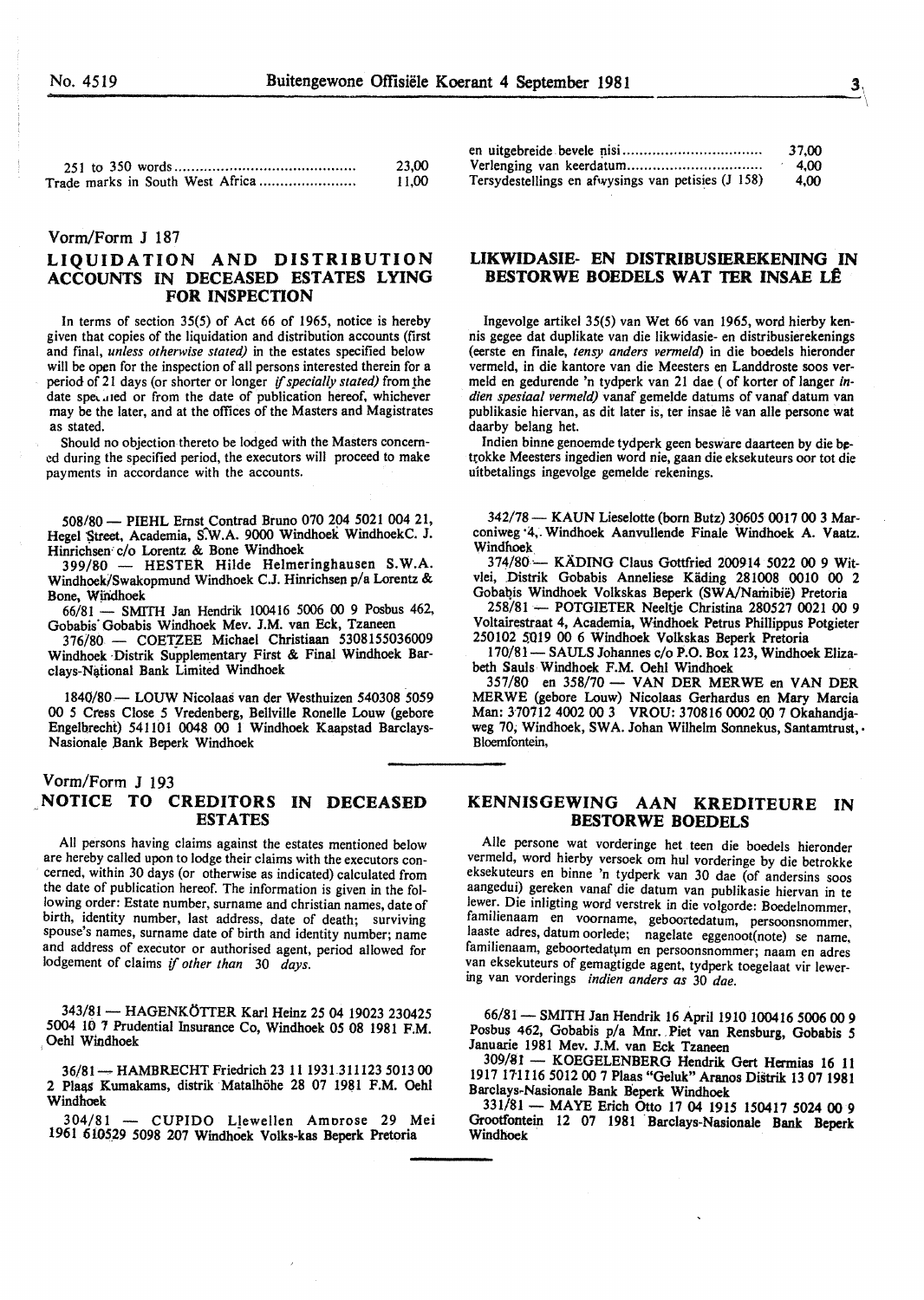11,00

|  |  | 23,00 |  |
|--|--|-------|--|

# Vorm/Form J 187

# LIQUIDATION AND DISTRIBUTION ACCOUNTS IN DECEASED ESTATES LYING FOR INSPECTION

Trade marks in South West Africa ...................... .

In terms of section  $35(5)$  of Act 66 of 1965, notice is hereby given that copies of the liquidation and distribution accounts (first and fmal, *unless otherwise stated)* in the estates specified below will be open for the inspection of all persons interested therein for a period of 21 days (or shorter or longer *if specially stated)* from the date speculed or from the date of publication hereof, whichever may be the later, and at the offices of the Masters and Magistrates as stated.

Should no objection thereto be lodged with the Masters concerned during the specified period, the executors will proceed to make payments in accordance with the accounts.

508/80- PIEHL Ernst Contrad Bruno 070 204 5021 004 21, Hegel Street, Academia, S:W.A. 9000 Windhoek WindhoekC. J. Hinrichsen· c/o Lorentz & Bone Windhoek

399/80 - HESTER Hilde Helmeringhausen S.W.A. Windhoek/Swakopmund Windhoek C.J. Hinrichsen p/a Lorentz & Bone, Wjndhoek

66/81 - SMITH Jan Hendrik 100416 5006 00 9 Posbus 462, Gobabis' Gobabis Windhoek Mev. J.M. van Eck, Tzaneen

376/80 - COETZEE Michael Christiaan 5308155036009 Windhoek Distrik Supplementary First & Final Windhoek Barclays-National Bank Limited Windhoek

1840/80- LOUW Nicolaas van der Westhuizen 540308 5059 00 5 Cress Close 5 Vredenberg, Bellville Ronelle Louw (gebore Engelbrecht) 541101 0048 00 1 Windhoek Kaapstad Barclays-Nasionale Bank Beperk Windhoek

# Vorm/Form J 193 NOTICE TO CREDITORS IN DECEASED ESTATES

All persons having claims against the estates mentioned below are hereby called upon to lodge their claims with the executors concerned, within 30 days (or otherwise as indicated) calculated from the date of publication hereof. The information is given in the following order: Estate number, surname and christian names, date of birth, identity number, last address, date of death; surviving spouse's names, surname date of birth and identity number; name and address of executor or authorised agent, period allowed for lodgement of claims if *other than* 30 *days.* 

343/81 - HAGENKÖTTER Karl Heinz 25 04 19023 230425 5004 10 1 Prudential Insurance Co, Windhoek 05 08 1981 F.M. Oehl Windhoek

36/81 ~ HAMBRECHT Friedrich 23 11 1931311123 5013 00 2 Plaas Kumakams, distrik Matalhöhe 28 07 1981 F.M. Oehl Windhoek

304/81 - CUPIDO Llewellen Amorose 29 Mei 1961 6i05.29 5098 207 Windhook Volks-kas Beperk Pretoria

|                                                    | 37.00 |
|----------------------------------------------------|-------|
|                                                    | 4.00  |
| Tersydestellings en afwysings van petisies (J 158) | 4.00  |

# LIKWIDASIE- EN DISTRIBUSIEREKENING IN BESTORWE BOEDELS WAT TER INSAE LÊ

Ingevolge artikel 35(5) van Wet 66 van 1965, word hierby kennis gegee dat duplikate van die likwidasie- en distribusierekenings (eerste en finale, *tensy anders vermeld)* in die boedels hieronder vermeld, in die kantore van die Meesters en Landdroste soos vermeld en gedurende 'n tydperk van 21 dae ( of korter of Ianger *indien spesiaal vermeld)* vanaf gemelde datums of vanaf datum van publikasie hiervan, as dit later is, ter insae lê van alle persone wat daarby belang het.

Indien binne genoemde tydperk geen besware daarteen by die betrokke Meesters ingedien word nie, gaan die eksekuteurs oor tot die uitbetalings ingevolge gemelde rekenings.

342/78- KAUN Lieselotte (born Butz) *39605* 0017 00 3 Marconiweg ·4,. Windhoek Aanvullende Finale Windhoek A. Vaatz. Windhoek

374/80 - KADING Claus Gottfried 200914 5022 00 9 Witvlei, Distrik Gobabis Anneliese Käding 281008 0010 00 2 Gobabis Windhoek Volkskas Beperk (SWA/Namibië) Pretoria

258/81 - POTGIETER Neeltje Christina 280527 0021 00 9 Voltairestraat 4, Academia, Windhoek Petrus Phillippus Potgieter 250102 5019 00 6 Windhoek Volkskas Beperk Pretoria

170/81- SAULS Johannes c/o P.O. Box 123, Windhoek Elizabeth Sauls Windhoek F.M. Oehl Windhoek

357/80 en 358/70- VAN DER MERWE en VANDER MERWE (gebore Louw) Nicolaas Gerhardus en Mary Marcia Man: 370712 4002 00 3 VROU: 370816 0002 00 7 Okahandjaweg 70, Windhoek, SWA. Johan Wilhelm Sonnekus, Santamtrust, . Bloemfontein,

# KENNISGEWING AAN KREDITEURE IN BESTORWE BOEDELS

Aile persone wat vorderinge bet teen die boedels hieronder vermeld, word hierby versoek om hul vorderinge by die betrokke eksekuteurs en binne 'n tydperk van 30 dae (of andersins soos aangedui) gereken vanaf die datum van publikasie hiervan in te lewer. Die inligting word verstrek in die volgorde: Boedelnommer, familienaam en voorname, geboortedatum, persoonsnommer, laaste adres, datum oorlede; nagelate eggenoot(note) se name, familienaam, geboortedatum en persoonsnommer; naam en adres van eksekuteurs of gemagtigde agent, tydperk toegelaat vir lewering van vorderings *indien anders as* 30 *dae.* 

66/81 - SMITH Jan Hendrik 16 April 1910 100416 5006 00 9 Posbus 462, Gobabis p/a Mnr. Piet van Rensburg, Gobabis 5 Januarie 1981 Mev. J.M. van Eck Tzaneen

309/81 - KOEGELENBERG Hendrik Gert Hermias 16 11 1917 17'1 116 5012 00 7 Plaas "Geluk" Aranos DiStrik 13 07 1981 Barclays.Nasionale Bank Beperk Windhoek

331/81- MAYE Erich Otto 17 04 1915 150417 5024 00 9 Grootfontein 12 07 1981 Barclays-Nasionale Bank Beperk Windhoek

 $\overline{y}$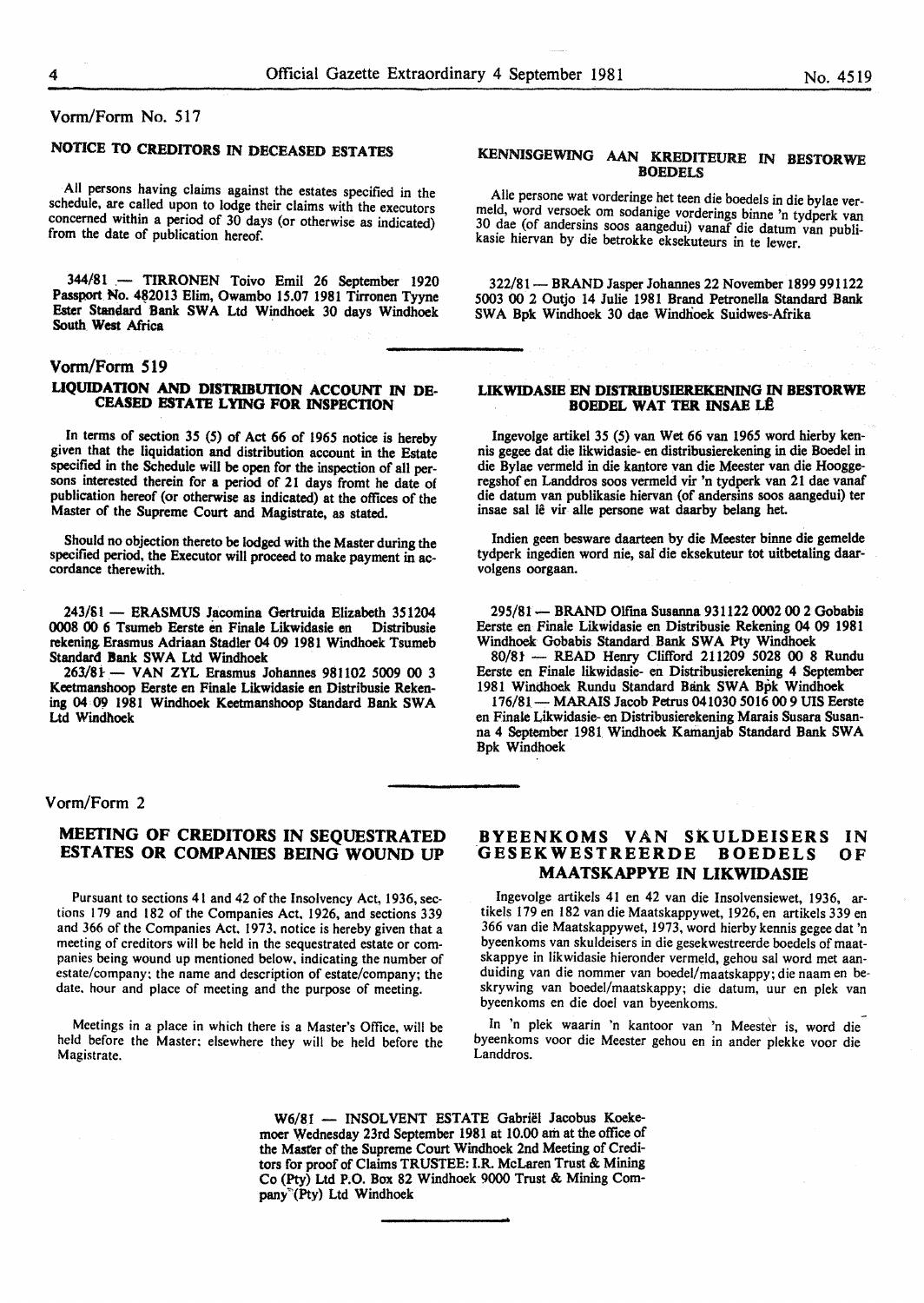# Vonn/Form No. 517

# NOTICE TO CREDITORS IN DECEASED ESTATES

All persons having claims against the estates specified in the schedule, are called upon to lodge their claims with the executors concerned within a period of 30 days (or otherwise as indicated) from the date of publication hereof.

344/81 .- TIRRONEN Toivo Emil 26 September 1920 Passport No. 482013 Elim, Owambo 15.07 1981 Tirronen Tyyne Ester Standard Bank SWA Ltd Windhoek 30 days Windhoek South West Africa

## Vorm/Form 519

## LIQUIDATION AND DISTRIBUTION ACCOUNT IN DE-CEASED ESTATE LYING FOR INSPECTION

In terms of section 35 (5) of Act 66 of 1965 notice is hereby given that the liquidation and distribution account in the Estate specified in the Schedule will be open for the inspection of all persons interested therein for a period of 21 days fromt he date of publication hereof (or otherwise as indicated) at the offices of the Master of the Supreme Court and Magistrate, as stated.

Should no objection thereto be lodged with the Master during the specified period, the Executor will proceed to make payment in ac- cordance therewith.

243/SI- ERASMUS Jacomina Gertruida Elizabeth 351204 0008 00 6 Tsumeb Eerste en Finale Likwidasie en Distribusie rekening. Erasmus Adriaan Stadler 04 09 1981 Windhoek Tsumeb Standard Bank SWA Ltd Windhoek

263/Si-- VAN ZYL Erasmus Johannes 981102 5009 00 3 Keetmanshoop Eerste en Finale Likwidasie en Distribusie Rekening 04 *09* 1981 Windhoek Keetmanshoop Standard Bank SWA Ltd Windhoek

## Vorm/Form 2

# MEETING OF CREDITORS IN SEQUESTRATED ESTATES OR COMPANIES BEING WOUND UP

Pursuant to sections 41 and 42 of the Insolvency Act, 1936, sections 179 and 182 of the Companies Act, 1926, and sections 339 and 366 of the Companies Act. 1973. notice is hereby given that a meeting of creditors will be held in the sequestrated estate or companies being wound up mentioned below, indicating the number of estate/company: the name and description of estate/company; the date. hour and place of meeting and the purpose of meeting.

Meetings in a place in which there is a Master's Office, will be held before the Master: elsewhere they will be held before the Magistrate.

## KENNISGEWING AAN KREDITEURE IN BESTORWE **BOEDELS**

Aile persone wat vorderinge bet teen die boedels in die bylae vermeld, word versoek om sodanige vorderings binne 'n tydperk van 30 dae (of andersins soos aangedui) vanaf die datum van publikasie hiervan by die betrokke eksekuteurs in te lewer.

322/81- BRAND Jasper Johannes 22 November 1899 991122 5003 00 2 Outjo 14 Julie 1981 Brand Petronella Standard Bank SWA Bpk Windhoek 30 dae Windhoek Suidwes-Afrika

#### LIKWIDASIE EN DISTRIBUSIEREKENING IN BESTORWE **BOEDEL WAT TER INSAE LÊ**

lngevolge artikel 35 (5) van Wet 66 van 1965 word hierby kennis gegee dat die likwidasie- en distribusierekening in die Boedel in die Bylae vermeld in die kantore van die Meester van die Hooggeregshof en Landdros soos vermeld vir 'n tydperk van 21 dae vanaf die datum van publikasie hiervan (of andersins soos aangedui) ter insae sal lê vir alle persone wat daarby belang het.

Indien geen besware daarteen by die Meester binne die gemelde tydperk ingedien word nie, sal die eksekuteur tot uitbetaling daarvolgens oorgaan.

295/81 - BRAND Olfma Susanna 931122 0002 00 2 Gobabis Eerste en Finale Likwidasie en Distribusie Rekening 04 09 1981 Windhoek Gobabis Standard Bank SWA Pty Windhoek

80/8t - READ Henry Clifford 211209 5028 00 8 Rundu Eerste en Finale likwidasie- en Distribusierekening 4 September 1981 Windhoek Rundu Standard Bank SWA Bpk Windhoek

176/81- MARAIS Jacob Petrus 041030 5016 00 9 UIS Eerste en Finale Likwidasie- en Distribusierekening Marais Susara Susanna 4 September 1981 Windhoek Kamanjab Standard Bank SWA Bpk Windhoek

# BYEENKOMS VAN SKULDEISERS IN<br>GESEKWESTREERDE BOEDELS OF GESEKWESTREERDE BOEDELS OF MAATSKAPPYE IN LIKWIDASIE

Ingevolge artikels 41 en 42 van die Insolvensiewet, 1936, artikels 179 en 182 van die Maatskappywet, 1926, en artikels 339 en 366 van die Maatskappywet, 1973, word hierby kennis gegee dat 'n byeenkoms van skuldeisers in die gesekwestreerde boedels of maatskappye in likwidasie hieronder vermeld, gehou sal word met aanduiding van die nommer van boedel/maatskappy; die naam en beskrywing van boedel/maatskappy; die datum, uur en plek van byeenkoms en die doel van byeenkoms.

In 'n plek waarin 'n kantoor van 'n Meester is, word die byeenkoms voor die Meester gehou en in ander plekke voor die Landdros.

W6/8I - INSOLVENT ESTATE Gabriël Jacobus Koekemoer Wednesday 23rd September 1981 at 10.00 am at the office of the Master of the Supreme Court Windhoek 2nd Meeting of Creditors for proof of Claims TRUSTEE: I.R. McLaren Trust & Mining Co (Pty) Ltd P.O. Box 82 Windhoek 9000 Trust & Mining Company~(Pty) Ltd Windhoek